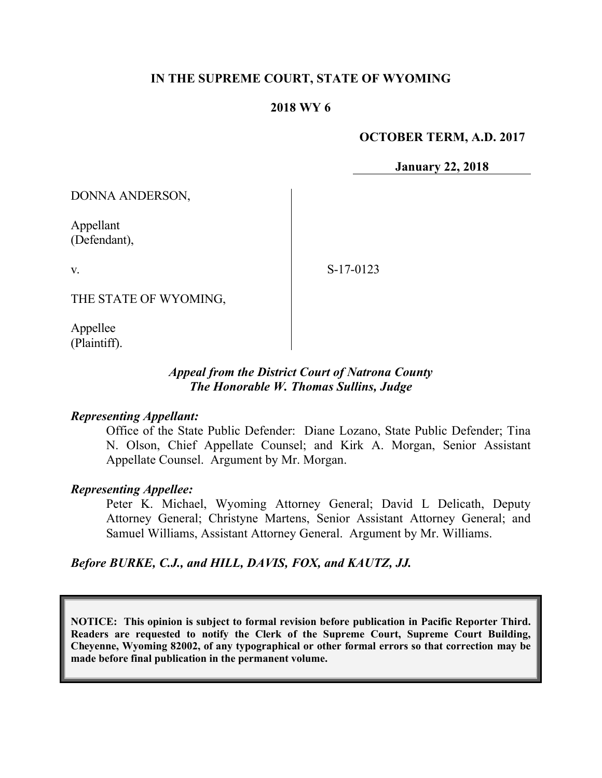### **IN THE SUPREME COURT, STATE OF WYOMING**

#### **2018 WY 6**

#### **OCTOBER TERM, A.D. 2017**

**January 22, 2018**

DONNA ANDERSON,

Appellant (Defendant),

v.

S-17-0123

THE STATE OF WYOMING,

Appellee (Plaintiff).

### *Appeal from the District Court of Natrona County The Honorable W. Thomas Sullins, Judge*

#### *Representing Appellant:*

Office of the State Public Defender: Diane Lozano, State Public Defender; Tina N. Olson, Chief Appellate Counsel; and Kirk A. Morgan, Senior Assistant Appellate Counsel. Argument by Mr. Morgan.

#### *Representing Appellee:*

Peter K. Michael, Wyoming Attorney General; David L Delicath, Deputy Attorney General; Christyne Martens, Senior Assistant Attorney General; and Samuel Williams, Assistant Attorney General. Argument by Mr. Williams.

#### *Before BURKE, C.J., and HILL, DAVIS, FOX, and KAUTZ, JJ.*

**NOTICE: This opinion is subject to formal revision before publication in Pacific Reporter Third. Readers are requested to notify the Clerk of the Supreme Court, Supreme Court Building, Cheyenne, Wyoming 82002, of any typographical or other formal errors so that correction may be made before final publication in the permanent volume.**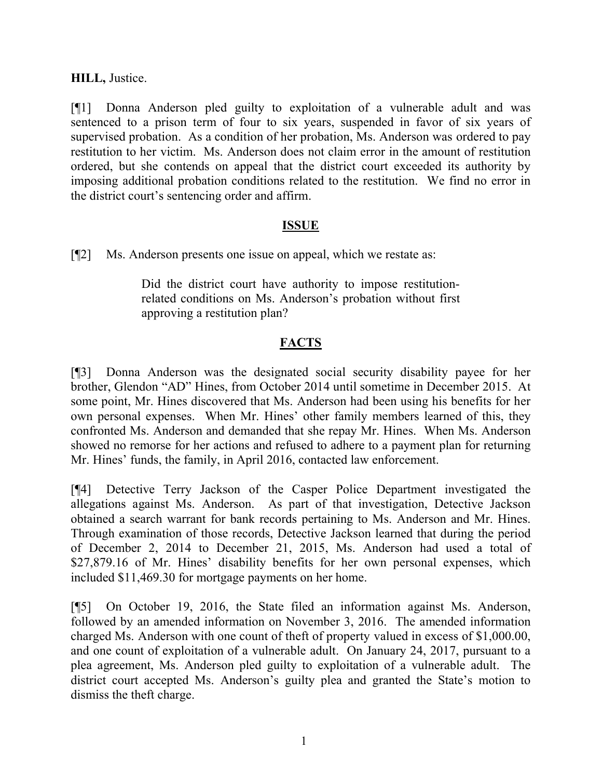### **HILL,** Justice.

[¶1] Donna Anderson pled guilty to exploitation of a vulnerable adult and was sentenced to a prison term of four to six years, suspended in favor of six years of supervised probation. As a condition of her probation, Ms. Anderson was ordered to pay restitution to her victim. Ms. Anderson does not claim error in the amount of restitution ordered, but she contends on appeal that the district court exceeded its authority by imposing additional probation conditions related to the restitution. We find no error in the district court's sentencing order and affirm.

### **ISSUE**

[¶2] Ms. Anderson presents one issue on appeal, which we restate as:

Did the district court have authority to impose restitutionrelated conditions on Ms. Anderson's probation without first approving a restitution plan?

### **FACTS**

[¶3] Donna Anderson was the designated social security disability payee for her brother, Glendon "AD" Hines, from October 2014 until sometime in December 2015. At some point, Mr. Hines discovered that Ms. Anderson had been using his benefits for her own personal expenses. When Mr. Hines' other family members learned of this, they confronted Ms. Anderson and demanded that she repay Mr. Hines. When Ms. Anderson showed no remorse for her actions and refused to adhere to a payment plan for returning Mr. Hines' funds, the family, in April 2016, contacted law enforcement.

[¶4] Detective Terry Jackson of the Casper Police Department investigated the allegations against Ms. Anderson. As part of that investigation, Detective Jackson obtained a search warrant for bank records pertaining to Ms. Anderson and Mr. Hines. Through examination of those records, Detective Jackson learned that during the period of December 2, 2014 to December 21, 2015, Ms. Anderson had used a total of \$27,879.16 of Mr. Hines' disability benefits for her own personal expenses, which included \$11,469.30 for mortgage payments on her home.

[¶5] On October 19, 2016, the State filed an information against Ms. Anderson, followed by an amended information on November 3, 2016. The amended information charged Ms. Anderson with one count of theft of property valued in excess of \$1,000.00, and one count of exploitation of a vulnerable adult. On January 24, 2017, pursuant to a plea agreement, Ms. Anderson pled guilty to exploitation of a vulnerable adult. The district court accepted Ms. Anderson's guilty plea and granted the State's motion to dismiss the theft charge.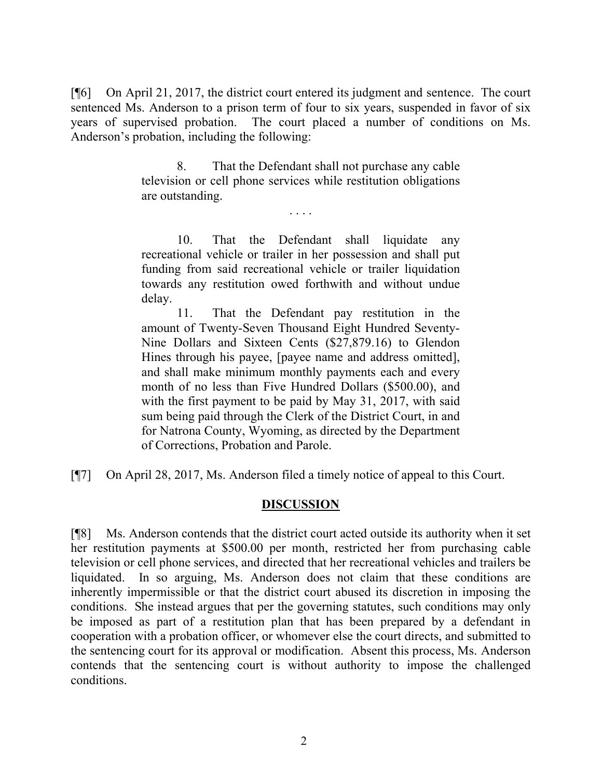[¶6] On April 21, 2017, the district court entered its judgment and sentence. The court sentenced Ms. Anderson to a prison term of four to six years, suspended in favor of six years of supervised probation. The court placed a number of conditions on Ms. Anderson's probation, including the following:

> 8. That the Defendant shall not purchase any cable television or cell phone services while restitution obligations are outstanding.

> > . . . .

10. That the Defendant shall liquidate any recreational vehicle or trailer in her possession and shall put funding from said recreational vehicle or trailer liquidation towards any restitution owed forthwith and without undue delay.

11. That the Defendant pay restitution in the amount of Twenty-Seven Thousand Eight Hundred Seventy-Nine Dollars and Sixteen Cents (\$27,879.16) to Glendon Hines through his payee, [payee name and address omitted], and shall make minimum monthly payments each and every month of no less than Five Hundred Dollars (\$500.00), and with the first payment to be paid by May 31, 2017, with said sum being paid through the Clerk of the District Court, in and for Natrona County, Wyoming, as directed by the Department of Corrections, Probation and Parole.

[¶7] On April 28, 2017, Ms. Anderson filed a timely notice of appeal to this Court.

### **DISCUSSION**

[¶8] Ms. Anderson contends that the district court acted outside its authority when it set her restitution payments at \$500.00 per month, restricted her from purchasing cable television or cell phone services, and directed that her recreational vehicles and trailers be liquidated. In so arguing, Ms. Anderson does not claim that these conditions are inherently impermissible or that the district court abused its discretion in imposing the conditions. She instead argues that per the governing statutes, such conditions may only be imposed as part of a restitution plan that has been prepared by a defendant in cooperation with a probation officer, or whomever else the court directs, and submitted to the sentencing court for its approval or modification. Absent this process, Ms. Anderson contends that the sentencing court is without authority to impose the challenged conditions.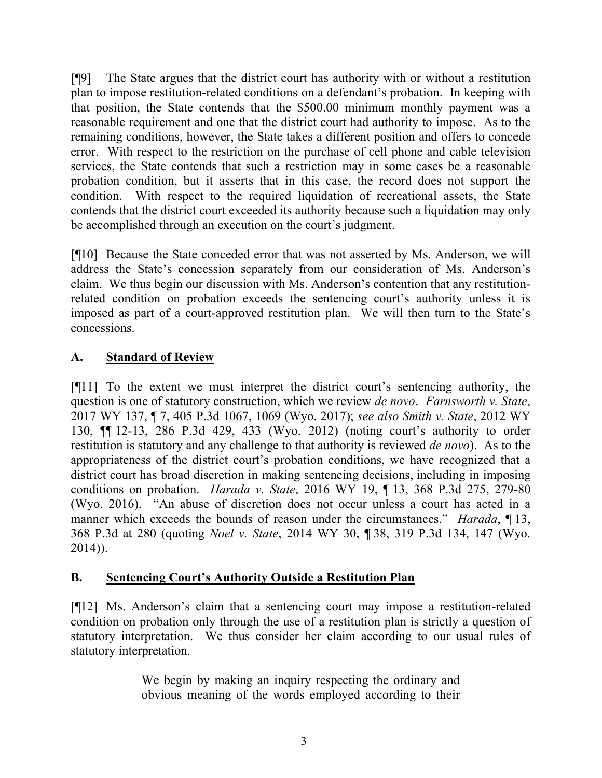[¶9] The State argues that the district court has authority with or without a restitution plan to impose restitution-related conditions on a defendant's probation. In keeping with that position, the State contends that the \$500.00 minimum monthly payment was a reasonable requirement and one that the district court had authority to impose. As to the remaining conditions, however, the State takes a different position and offers to concede error. With respect to the restriction on the purchase of cell phone and cable television services, the State contends that such a restriction may in some cases be a reasonable probation condition, but it asserts that in this case, the record does not support the condition. With respect to the required liquidation of recreational assets, the State contends that the district court exceeded its authority because such a liquidation may only be accomplished through an execution on the court's judgment.

[¶10] Because the State conceded error that was not asserted by Ms. Anderson, we will address the State's concession separately from our consideration of Ms. Anderson's claim. We thus begin our discussion with Ms. Anderson's contention that any restitutionrelated condition on probation exceeds the sentencing court's authority unless it is imposed as part of a court-approved restitution plan. We will then turn to the State's concessions.

# **A. Standard of Review**

[¶11] To the extent we must interpret the district court's sentencing authority, the question is one of statutory construction, which we review *de novo*. *Farnsworth v. State*, 2017 WY 137, ¶ 7, 405 P.3d 1067, 1069 (Wyo. 2017); *see also Smith v. State*, 2012 WY 130, ¶¶ 12-13, 286 P.3d 429, 433 (Wyo. 2012) (noting court's authority to order restitution is statutory and any challenge to that authority is reviewed *de novo*). As to the appropriateness of the district court's probation conditions, we have recognized that a district court has broad discretion in making sentencing decisions, including in imposing conditions on probation. *Harada v. State*, 2016 WY 19, ¶ 13, 368 P.3d 275, 279-80 (Wyo. 2016). "An abuse of discretion does not occur unless a court has acted in a manner which exceeds the bounds of reason under the circumstances." *Harada*, 13, 368 P.3d at 280 (quoting *Noel v. State*, 2014 WY 30, ¶ 38, 319 P.3d 134, 147 (Wyo. 2014)).

# **B. Sentencing Court's Authority Outside a Restitution Plan**

[¶12] Ms. Anderson's claim that a sentencing court may impose a restitution-related condition on probation only through the use of a restitution plan is strictly a question of statutory interpretation. We thus consider her claim according to our usual rules of statutory interpretation.

> We begin by making an inquiry respecting the ordinary and obvious meaning of the words employed according to their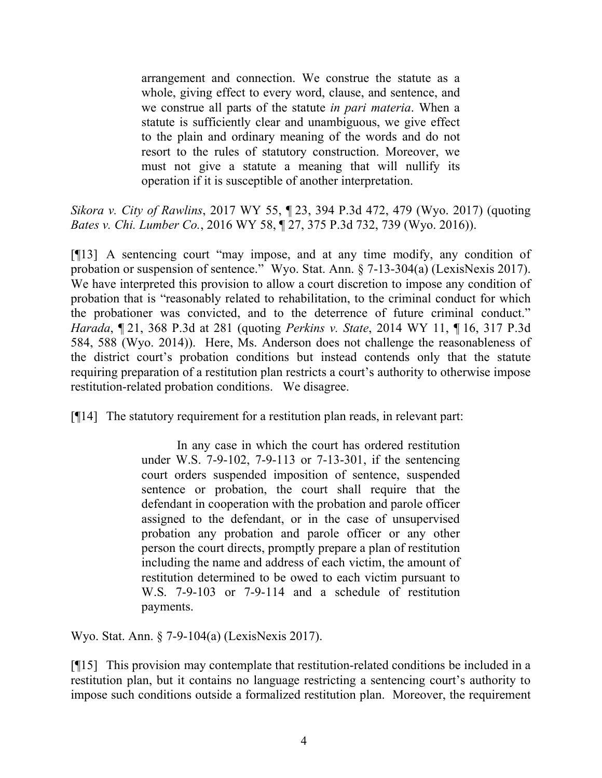arrangement and connection. We construe the statute as a whole, giving effect to every word, clause, and sentence, and we construe all parts of the statute *in pari materia*. When a statute is sufficiently clear and unambiguous, we give effect to the plain and ordinary meaning of the words and do not resort to the rules of statutory construction. Moreover, we must not give a statute a meaning that will nullify its operation if it is susceptible of another interpretation.

*Sikora v. City of Rawlins*, 2017 WY 55, ¶ 23, 394 P.3d 472, 479 (Wyo. 2017) (quoting *Bates v. Chi. Lumber Co.*, 2016 WY 58, ¶ 27, 375 P.3d 732, 739 (Wyo. 2016)).

[¶13] A sentencing court "may impose, and at any time modify, any condition of probation or suspension of sentence." Wyo. Stat. Ann. § 7-13-304(a) (LexisNexis 2017). We have interpreted this provision to allow a court discretion to impose any condition of probation that is "reasonably related to rehabilitation, to the criminal conduct for which the probationer was convicted, and to the deterrence of future criminal conduct." *Harada*, ¶ 21, 368 P.3d at 281 (quoting *Perkins v. State*, 2014 WY 11, ¶ 16, 317 P.3d 584, 588 (Wyo. 2014)). Here, Ms. Anderson does not challenge the reasonableness of the district court's probation conditions but instead contends only that the statute requiring preparation of a restitution plan restricts a court's authority to otherwise impose restitution-related probation conditions. We disagree.

[¶14] The statutory requirement for a restitution plan reads, in relevant part:

In any case in which the court has ordered restitution under W.S. 7-9-102, 7-9-113 or 7-13-301, if the sentencing court orders suspended imposition of sentence, suspended sentence or probation, the court shall require that the defendant in cooperation with the probation and parole officer assigned to the defendant, or in the case of unsupervised probation any probation and parole officer or any other person the court directs, promptly prepare a plan of restitution including the name and address of each victim, the amount of restitution determined to be owed to each victim pursuant to W.S. 7-9-103 or 7-9-114 and a schedule of restitution payments.

Wyo. Stat. Ann. § 7-9-104(a) (LexisNexis 2017).

[¶15] This provision may contemplate that restitution-related conditions be included in a restitution plan, but it contains no language restricting a sentencing court's authority to impose such conditions outside a formalized restitution plan. Moreover, the requirement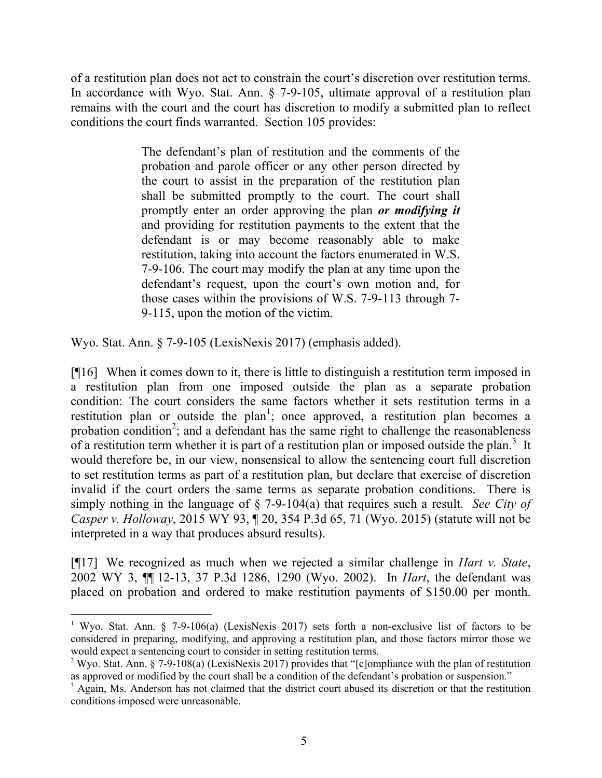of a restitution plan does not act to constrain the court's discretion over restitution terms. In accordance with Wyo. Stat. Ann. § 7-9-105, ultimate approval of a restitution plan remains with the court and the court has discretion to modify a submitted plan to reflect conditions the court finds warranted. Section 105 provides:

> The defendant's plan of restitution and the comments of the probation and parole officer or any other person directed by the court to assist in the preparation of the restitution plan shall be submitted promptly to the court. The court shall promptly enter an order approving the plan *or modifying it* and providing for restitution payments to the extent that the defendant is or may become reasonably able to make restitution, taking into account the factors enumerated in W.S. 7-9-106. The court may modify the plan at any time upon the defendant's request, upon the court's own motion and, for those cases within the provisions of W.S. 7-9-113 through 7- 9-115, upon the motion of the victim.

Wyo. Stat. Ann. § 7-9-105 (LexisNexis 2017) (emphasis added).

l

[¶16] When it comes down to it, there is little to distinguish a restitution term imposed in a restitution plan from one imposed outside the plan as a separate probation condition: The court considers the same factors whether it sets restitution terms in a restitution plan or outside the plan<sup>1</sup>; once approved, a restitution plan becomes a probation condition<sup>2</sup>; and a defendant has the same right to challenge the reasonableness of a restitution term whether it is part of a restitution plan or imposed outside the plan.<sup>3</sup> It would therefore be, in our view, nonsensical to allow the sentencing court full discretion to set restitution terms as part of a restitution plan, but declare that exercise of discretion invalid if the court orders the same terms as separate probation conditions. There is simply nothing in the language of § 7-9-104(a) that requires such a result. *See City of Casper v. Holloway*, 2015 WY 93, ¶ 20, 354 P.3d 65, 71 (Wyo. 2015) (statute will not be interpreted in a way that produces absurd results).

[¶17] We recognized as much when we rejected a similar challenge in *Hart v. State*, 2002 WY 3, ¶¶ 12-13, 37 P.3d 1286, 1290 (Wyo. 2002). In *Hart*, the defendant was placed on probation and ordered to make restitution payments of \$150.00 per month.

<sup>&</sup>lt;sup>1</sup> Wyo. Stat. Ann. § 7-9-106(a) (LexisNexis 2017) sets forth a non-exclusive list of factors to be considered in preparing, modifying, and approving a restitution plan, and those factors mirror those we would expect a sentencing court to consider in setting restitution terms.

<sup>&</sup>lt;sup>2</sup> Wyo. Stat. Ann. § 7-9-108(a) (LexisNexis 2017) provides that "[c]ompliance with the plan of restitution as approved or modified by the court shall be a condition of the defendant's probation or suspension."

<sup>&</sup>lt;sup>3</sup> Again, Ms. Anderson has not claimed that the district court abused its discretion or that the restitution conditions imposed were unreasonable.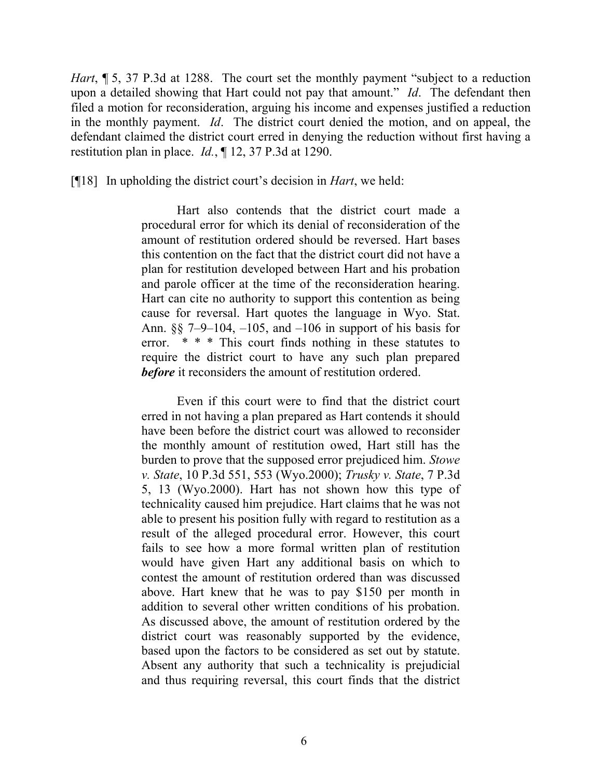*Hart*, **[5, 37 P.3d at 1288.** The court set the monthly payment "subject to a reduction" upon a detailed showing that Hart could not pay that amount." *Id*. The defendant then filed a motion for reconsideration, arguing his income and expenses justified a reduction in the monthly payment. *Id*. The district court denied the motion, and on appeal, the defendant claimed the district court erred in denying the reduction without first having a restitution plan in place. *Id.*, ¶ 12, 37 P.3d at 1290.

[¶18] In upholding the district court's decision in *Hart*, we held:

Hart also contends that the district court made a procedural error for which its denial of reconsideration of the amount of restitution ordered should be reversed. Hart bases this contention on the fact that the district court did not have a plan for restitution developed between Hart and his probation and parole officer at the time of the reconsideration hearing. Hart can cite no authority to support this contention as being cause for reversal. Hart quotes the language in Wyo. Stat. Ann. §§ 7–9–104, –105, and –106 in support of his basis for error. \* \* \* This court finds nothing in these statutes to require the district court to have any such plan prepared *before* it reconsiders the amount of restitution ordered.

Even if this court were to find that the district court erred in not having a plan prepared as Hart contends it should have been before the district court was allowed to reconsider the monthly amount of restitution owed, Hart still has the burden to prove that the supposed error prejudiced him. *Stowe v. State*, 10 P.3d 551, 553 (Wyo.2000); *Trusky v. State*, 7 P.3d 5, 13 (Wyo.2000). Hart has not shown how this type of technicality caused him prejudice. Hart claims that he was not able to present his position fully with regard to restitution as a result of the alleged procedural error. However, this court fails to see how a more formal written plan of restitution would have given Hart any additional basis on which to contest the amount of restitution ordered than was discussed above. Hart knew that he was to pay \$150 per month in addition to several other written conditions of his probation. As discussed above, the amount of restitution ordered by the district court was reasonably supported by the evidence, based upon the factors to be considered as set out by statute. Absent any authority that such a technicality is prejudicial and thus requiring reversal, this court finds that the district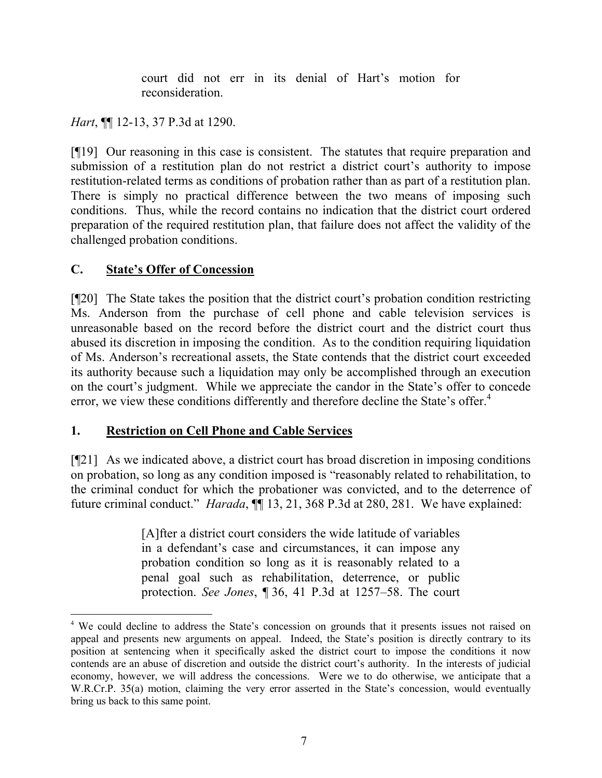court did not err in its denial of Hart's motion for reconsideration.

*Hart*, ¶¶ 12-13, 37 P.3d at 1290.

[¶19] Our reasoning in this case is consistent. The statutes that require preparation and submission of a restitution plan do not restrict a district court's authority to impose restitution-related terms as conditions of probation rather than as part of a restitution plan. There is simply no practical difference between the two means of imposing such conditions. Thus, while the record contains no indication that the district court ordered preparation of the required restitution plan, that failure does not affect the validity of the challenged probation conditions.

# **C. State's Offer of Concession**

l

[¶20] The State takes the position that the district court's probation condition restricting Ms. Anderson from the purchase of cell phone and cable television services is unreasonable based on the record before the district court and the district court thus abused its discretion in imposing the condition. As to the condition requiring liquidation of Ms. Anderson's recreational assets, the State contends that the district court exceeded its authority because such a liquidation may only be accomplished through an execution on the court's judgment. While we appreciate the candor in the State's offer to concede error, we view these conditions differently and therefore decline the State's offer.<sup>4</sup>

# **1. Restriction on Cell Phone and Cable Services**

[¶21] As we indicated above, a district court has broad discretion in imposing conditions on probation, so long as any condition imposed is "reasonably related to rehabilitation, to the criminal conduct for which the probationer was convicted, and to the deterrence of future criminal conduct." *Harada*, **[1]** 13, 21, 368 P.3d at 280, 281. We have explained:

> [A]fter a district court considers the wide latitude of variables in a defendant's case and circumstances, it can impose any probation condition so long as it is reasonably related to a penal goal such as rehabilitation, deterrence, or public protection. *See Jones*, ¶ 36, 41 P.3d at 1257–58. The court

<sup>&</sup>lt;sup>4</sup> We could decline to address the State's concession on grounds that it presents issues not raised on appeal and presents new arguments on appeal. Indeed, the State's position is directly contrary to its position at sentencing when it specifically asked the district court to impose the conditions it now contends are an abuse of discretion and outside the district court's authority. In the interests of judicial economy, however, we will address the concessions. Were we to do otherwise, we anticipate that a W.R.Cr.P. 35(a) motion, claiming the very error asserted in the State's concession, would eventually bring us back to this same point.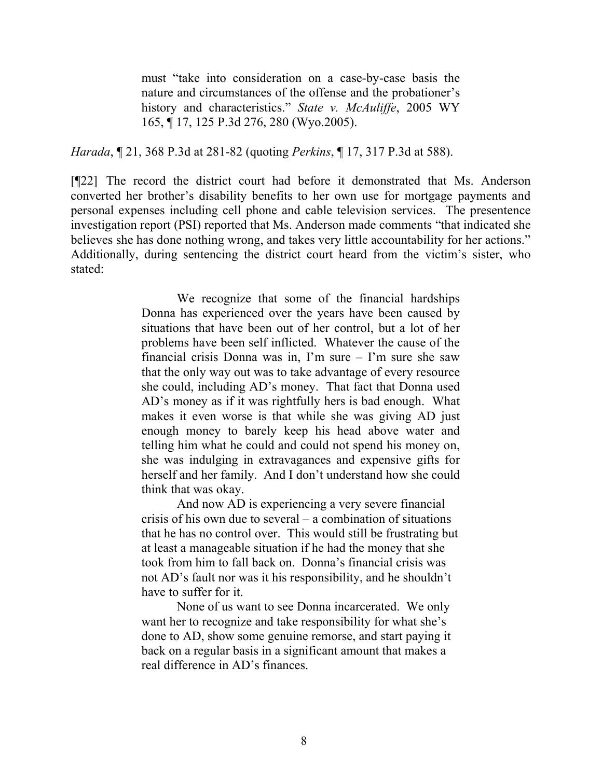must "take into consideration on a case-by-case basis the nature and circumstances of the offense and the probationer's history and characteristics." *State v. McAuliffe*, 2005 WY 165, ¶ 17, 125 P.3d 276, 280 (Wyo.2005).

*Harada*, ¶ 21, 368 P.3d at 281-82 (quoting *Perkins*, ¶ 17, 317 P.3d at 588).

[¶22] The record the district court had before it demonstrated that Ms. Anderson converted her brother's disability benefits to her own use for mortgage payments and personal expenses including cell phone and cable television services. The presentence investigation report (PSI) reported that Ms. Anderson made comments "that indicated she believes she has done nothing wrong, and takes very little accountability for her actions." Additionally, during sentencing the district court heard from the victim's sister, who stated:

> We recognize that some of the financial hardships Donna has experienced over the years have been caused by situations that have been out of her control, but a lot of her problems have been self inflicted. Whatever the cause of the financial crisis Donna was in, I'm sure – I'm sure she saw that the only way out was to take advantage of every resource she could, including AD's money. That fact that Donna used AD's money as if it was rightfully hers is bad enough. What makes it even worse is that while she was giving AD just enough money to barely keep his head above water and telling him what he could and could not spend his money on, she was indulging in extravagances and expensive gifts for herself and her family. And I don't understand how she could think that was okay.

> And now AD is experiencing a very severe financial crisis of his own due to several – a combination of situations that he has no control over. This would still be frustrating but at least a manageable situation if he had the money that she took from him to fall back on. Donna's financial crisis was not AD's fault nor was it his responsibility, and he shouldn't have to suffer for it.

None of us want to see Donna incarcerated. We only want her to recognize and take responsibility for what she's done to AD, show some genuine remorse, and start paying it back on a regular basis in a significant amount that makes a real difference in AD's finances.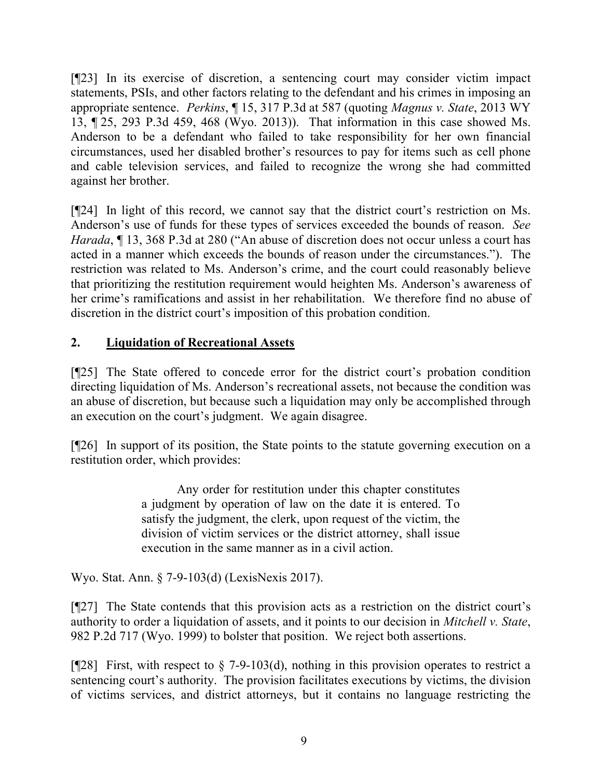[¶23] In its exercise of discretion, a sentencing court may consider victim impact statements, PSIs, and other factors relating to the defendant and his crimes in imposing an appropriate sentence. *Perkins*, ¶ 15, 317 P.3d at 587 (quoting *Magnus v. State*, 2013 WY 13, ¶ 25, 293 P.3d 459, 468 (Wyo. 2013)). That information in this case showed Ms. Anderson to be a defendant who failed to take responsibility for her own financial circumstances, used her disabled brother's resources to pay for items such as cell phone and cable television services, and failed to recognize the wrong she had committed against her brother.

[¶24] In light of this record, we cannot say that the district court's restriction on Ms. Anderson's use of funds for these types of services exceeded the bounds of reason. *See Harada*,  $\P$  13, 368 P.3d at 280 ("An abuse of discretion does not occur unless a court has acted in a manner which exceeds the bounds of reason under the circumstances."). The restriction was related to Ms. Anderson's crime, and the court could reasonably believe that prioritizing the restitution requirement would heighten Ms. Anderson's awareness of her crime's ramifications and assist in her rehabilitation. We therefore find no abuse of discretion in the district court's imposition of this probation condition.

# **2. Liquidation of Recreational Assets**

[¶25] The State offered to concede error for the district court's probation condition directing liquidation of Ms. Anderson's recreational assets, not because the condition was an abuse of discretion, but because such a liquidation may only be accomplished through an execution on the court's judgment. We again disagree.

[¶26] In support of its position, the State points to the statute governing execution on a restitution order, which provides:

> Any order for restitution under this chapter constitutes a judgment by operation of law on the date it is entered. To satisfy the judgment, the clerk, upon request of the victim, the division of victim services or the district attorney, shall issue execution in the same manner as in a civil action.

Wyo. Stat. Ann. § 7-9-103(d) (LexisNexis 2017).

[¶27] The State contends that this provision acts as a restriction on the district court's authority to order a liquidation of assets, and it points to our decision in *Mitchell v. State*, 982 P.2d 717 (Wyo. 1999) to bolster that position. We reject both assertions.

[ $[28]$ ] First, with respect to  $\S$  7-9-103(d), nothing in this provision operates to restrict a sentencing court's authority. The provision facilitates executions by victims, the division of victims services, and district attorneys, but it contains no language restricting the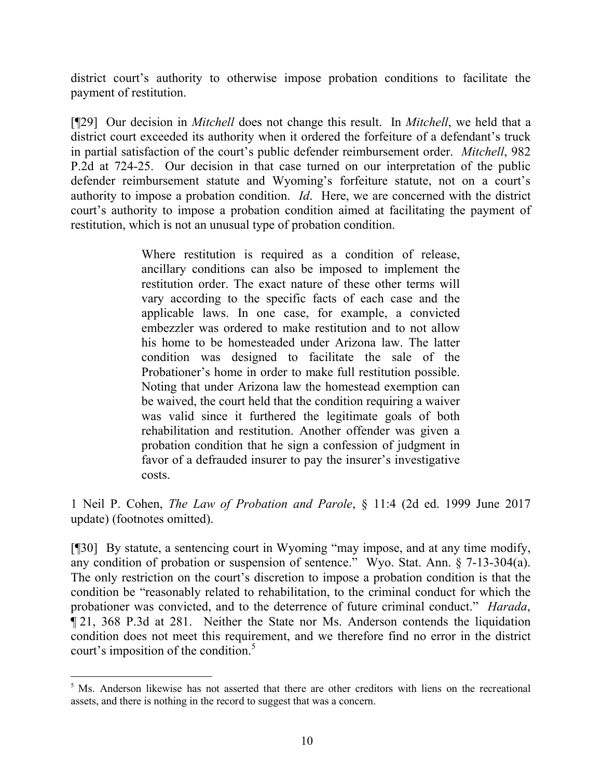district court's authority to otherwise impose probation conditions to facilitate the payment of restitution.

[¶29] Our decision in *Mitchell* does not change this result. In *Mitchell*, we held that a district court exceeded its authority when it ordered the forfeiture of a defendant's truck in partial satisfaction of the court's public defender reimbursement order. *Mitchell*, 982 P.2d at 724-25. Our decision in that case turned on our interpretation of the public defender reimbursement statute and Wyoming's forfeiture statute, not on a court's authority to impose a probation condition. *Id*. Here, we are concerned with the district court's authority to impose a probation condition aimed at facilitating the payment of restitution, which is not an unusual type of probation condition.

> Where restitution is required as a condition of release, ancillary conditions can also be imposed to implement the restitution order. The exact nature of these other terms will vary according to the specific facts of each case and the applicable laws. In one case, for example, a convicted embezzler was ordered to make restitution and to not allow his home to be homesteaded under Arizona law. The latter condition was designed to facilitate the sale of the Probationer's home in order to make full restitution possible. Noting that under Arizona law the homestead exemption can be waived, the court held that the condition requiring a waiver was valid since it furthered the legitimate goals of both rehabilitation and restitution. Another offender was given a probation condition that he sign a confession of judgment in favor of a defrauded insurer to pay the insurer's investigative costs.

1 Neil P. Cohen, *The Law of Probation and Parole*, § 11:4 (2d ed. 1999 June 2017 update) (footnotes omitted).

[¶30] By statute, a sentencing court in Wyoming "may impose, and at any time modify, any condition of probation or suspension of sentence." Wyo. Stat. Ann. § 7-13-304(a). The only restriction on the court's discretion to impose a probation condition is that the condition be "reasonably related to rehabilitation, to the criminal conduct for which the probationer was convicted, and to the deterrence of future criminal conduct." *Harada*, ¶ 21, 368 P.3d at 281. Neither the State nor Ms. Anderson contends the liquidation condition does not meet this requirement, and we therefore find no error in the district court's imposition of the condition.<sup>5</sup>

<sup>&</sup>lt;sup>5</sup> Ms. Anderson likewise has not asserted that there are other creditors with liens on the recreational assets, and there is nothing in the record to suggest that was a concern.